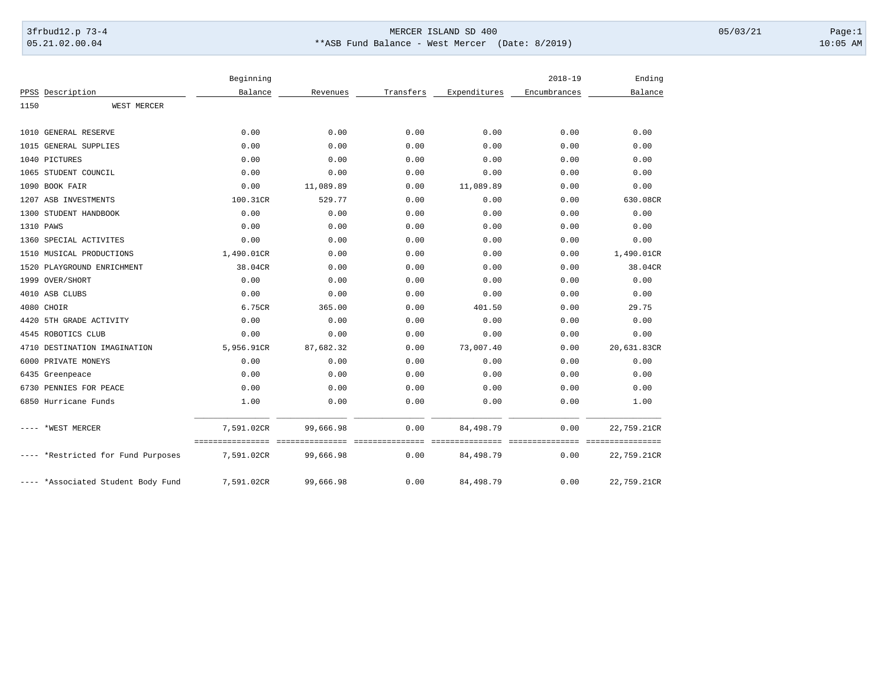## 3frbud12.p 73-4 Page:1 Page:1 05.21.02.00.04 \*\*ASB Fund Balance - West Mercer (Date: 8/2019) 10:05 AM

|      |                                    | Beginning  |           |           |              | $2018 - 19$  | Ending      |
|------|------------------------------------|------------|-----------|-----------|--------------|--------------|-------------|
|      | PPSS Description                   | Balance    | Revenues  | Transfers | Expenditures | Encumbrances | Balance     |
| 1150 | WEST MERCER                        |            |           |           |              |              |             |
|      | 1010 GENERAL RESERVE               | 0.00       | 0.00      | 0.00      | 0.00         | 0.00         | 0.00        |
|      | 1015 GENERAL SUPPLIES              | 0.00       | 0.00      | 0.00      | 0.00         | 0.00         | 0.00        |
|      | 1040 PICTURES                      | 0.00       | 0.00      | 0.00      | 0.00         | 0.00         | 0.00        |
|      | 1065 STUDENT COUNCIL               | 0.00       | 0.00      | 0.00      | 0.00         | 0.00         | 0.00        |
|      | 1090 BOOK FAIR                     | 0.00       | 11,089.89 | 0.00      | 11,089.89    | 0.00         | 0.00        |
|      | 1207 ASB INVESTMENTS               | 100.31CR   | 529.77    | 0.00      | 0.00         | 0.00         | 630.08CR    |
|      | 1300 STUDENT HANDBOOK              | 0.00       | 0.00      | 0.00      | 0.00         | 0.00         | 0.00        |
|      | 1310 PAWS                          | 0.00       | 0.00      | 0.00      | 0.00         | 0.00         | 0.00        |
|      | 1360 SPECIAL ACTIVITES             | 0.00       | 0.00      | 0.00      | 0.00         | 0.00         | 0.00        |
|      | 1510 MUSICAL PRODUCTIONS           | 1,490.01CR | 0.00      | 0.00      | 0.00         | 0.00         | 1,490.01CR  |
|      | 1520 PLAYGROUND ENRICHMENT         | 38.04CR    | 0.00      | 0.00      | 0.00         | 0.00         | 38.04CR     |
|      | 1999 OVER/SHORT                    | 0.00       | 0.00      | 0.00      | 0.00         | 0.00         | 0.00        |
|      | 4010 ASB CLUBS                     | 0.00       | 0.00      | 0.00      | 0.00         | 0.00         | 0.00        |
|      | 4080 CHOIR                         | 6.75CR     | 365.00    | 0.00      | 401.50       | 0.00         | 29.75       |
|      | 4420 5TH GRADE ACTIVITY            | 0.00       | 0.00      | 0.00      | 0.00         | 0.00         | 0.00        |
|      | 4545 ROBOTICS CLUB                 | 0.00       | 0.00      | 0.00      | 0.00         | 0.00         | 0.00        |
|      | 4710 DESTINATION IMAGINATION       | 5,956.91CR | 87,682.32 | 0.00      | 73,007.40    | 0.00         | 20,631.83CR |
|      | 6000 PRIVATE MONEYS                | 0.00       | 0.00      | 0.00      | 0.00         | 0.00         | 0.00        |
|      | 6435 Greenpeace                    | 0.00       | 0.00      | 0.00      | 0.00         | 0.00         | 0.00        |
|      | 6730 PENNIES FOR PEACE             | 0.00       | 0.00      | 0.00      | 0.00         | 0.00         | 0.00        |
|      | 6850 Hurricane Funds               | 1.00       | 0.00      | 0.00      | 0.00         | 0.00         | 1.00        |
| ---- | *WEST MERCER                       | 7.591.02CR | 99,666.98 | 0.00      | 84,498.79    | 0.00         | 22,759.21CR |
|      | ---- *Restricted for Fund Purposes | 7,591.02CR | 99,666.98 | 0.00      | 84, 498. 79  | 0.00         | 22,759.21CR |
|      | ---- *Associated Student Body Fund | 7,591.02CR | 99,666.98 | 0.00      | 84, 498.79   | 0.00         | 22,759.21CR |